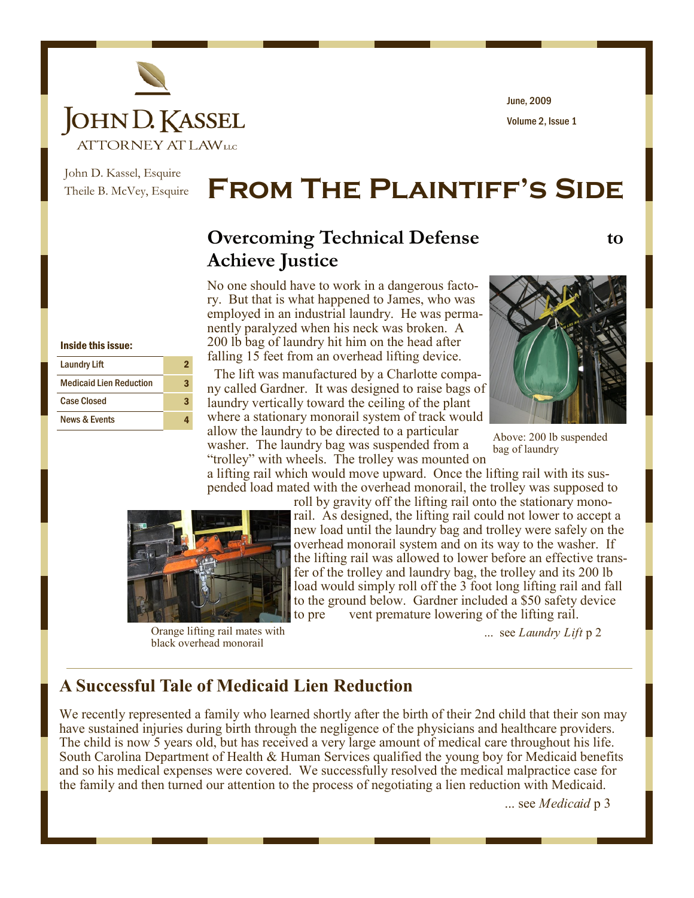

Volume 2, Issue 1 June, 2009

John D. Kassel, Esquire Theile B. McVey, Esquire

# **From The Plaintiff's Side**

# **Overcoming Technical Defense** to **Achieve Justice**

No one should have to work in a dangerous factory. But that is what happened to James, who was employed in an industrial laundry. He was permanently paralyzed when his neck was broken. A 200 lb bag of laundry hit him on the head after falling 15 feet from an overhead lifting device.

 The lift was manufactured by a Charlotte company called Gardner. It was designed to raise bags of laundry vertically toward the ceiling of the plant where a stationary monorail system of track would allow the laundry to be directed to a particular washer. The laundry bag was suspended from a



Above: 200 lb suspended bag of laundry

"trolley" with wheels. The trolley was mounted on a lifting rail which would move upward. Once the lifting rail with its suspended load mated with the overhead monorail, the trolley was supposed to



Orange lifting rail mates with black overhead monorail

roll by gravity off the lifting rail onto the stationary monorail. As designed, the lifting rail could not lower to accept a new load until the laundry bag and trolley were safely on the overhead monorail system and on its way to the washer. If the lifting rail was allowed to lower before an effective transfer of the trolley and laundry bag, the trolley and its 200 lb load would simply roll off the 3 foot long lifting rail and fall to the ground below. Gardner included a \$50 safety device to pre vent premature lowering of the lifting rail.

... see *Laundry Lift* p 2

### **A Successful Tale of Medicaid Lien Reduction**

We recently represented a family who learned shortly after the birth of their 2nd child that their son may have sustained injuries during birth through the negligence of the physicians and healthcare providers. The child is now 5 years old, but has received a very large amount of medical care throughout his life. South Carolina Department of Health & Human Services qualified the young boy for Medicaid benefits and so his medical expenses were covered. We successfully resolved the medical malpractice case for the family and then turned our attention to the process of negotiating a lien reduction with Medicaid.

... see *Medicaid* p 3

Inside this issue:

| <b>Laundry Lift</b>            |   |
|--------------------------------|---|
| <b>Medicaid Lien Reduction</b> | 3 |
| <b>Case Closed</b>             |   |
| <b>News &amp; Events</b>       |   |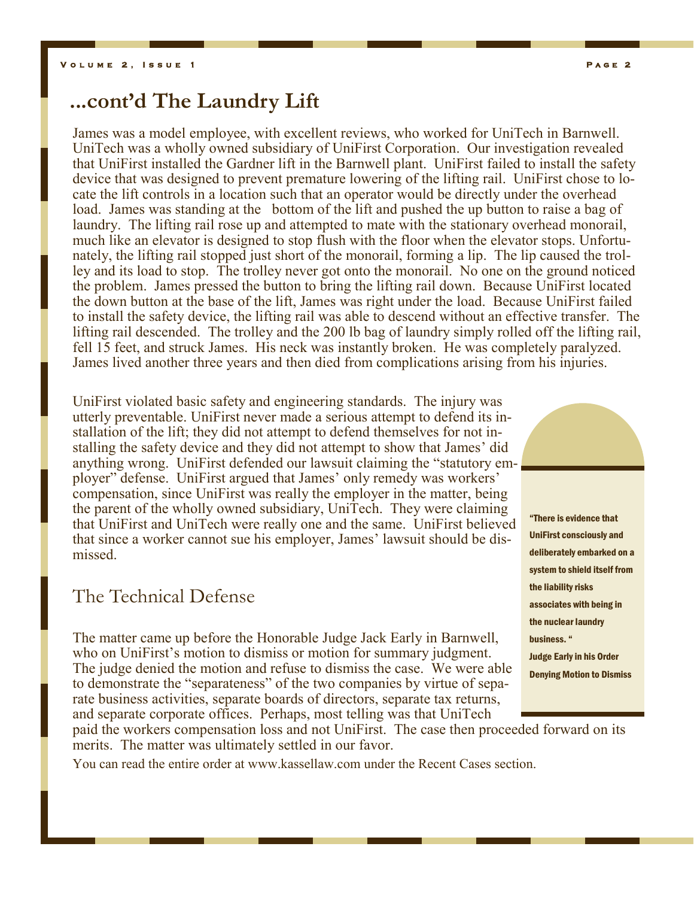# **...cont'd The Laundry Lift**

James was a model employee, with excellent reviews, who worked for UniTech in Barnwell. UniTech was a wholly owned subsidiary of UniFirst Corporation. Our investigation revealed that UniFirst installed the Gardner lift in the Barnwell plant. UniFirst failed to install the safety device that was designed to prevent premature lowering of the lifting rail. UniFirst chose to locate the lift controls in a location such that an operator would be directly under the overhead load. James was standing at the bottom of the lift and pushed the up button to raise a bag of laundry. The lifting rail rose up and attempted to mate with the stationary overhead monorail, much like an elevator is designed to stop flush with the floor when the elevator stops. Unfortunately, the lifting rail stopped just short of the monorail, forming a lip. The lip caused the trolley and its load to stop. The trolley never got onto the monorail. No one on the ground noticed the problem. James pressed the button to bring the lifting rail down. Because UniFirst located the down button at the base of the lift, James was right under the load. Because UniFirst failed to install the safety device, the lifting rail was able to descend without an effective transfer. The lifting rail descended. The trolley and the 200 lb bag of laundry simply rolled off the lifting rail, fell 15 feet, and struck James. His neck was instantly broken. He was completely paralyzed. James lived another three years and then died from complications arising from his injuries.

UniFirst violated basic safety and engineering standards. The injury was utterly preventable. UniFirst never made a serious attempt to defend its installation of the lift; they did not attempt to defend themselves for not installing the safety device and they did not attempt to show that James' did anything wrong. UniFirst defended our lawsuit claiming the "statutory employer" defense. UniFirst argued that James' only remedy was workers' compensation, since UniFirst was really the employer in the matter, being the parent of the wholly owned subsidiary, UniTech. They were claiming that UniFirst and UniTech were really one and the same. UniFirst believed that since a worker cannot sue his employer, James' lawsuit should be dismissed.

## The Technical Defense

The matter came up before the Honorable Judge Jack Early in Barnwell, who on UniFirst's motion to dismiss or motion for summary judgment. The judge denied the motion and refuse to dismiss the case. We were able to demonstrate the "separateness" of the two companies by virtue of separate business activities, separate boards of directors, separate tax returns, and separate corporate offices. Perhaps, most telling was that UniTech



deliberately embarked on a system to shield itself from the liability risks associates with being in the nuclear laundry business. " Judge Early in his Order Denying Motion to Dismiss

paid the workers compensation loss and not UniFirst. The case then proceeded forward on its merits. The matter was ultimately settled in our favor.

You can read the entire order at www.kassellaw.com under the Recent Cases section.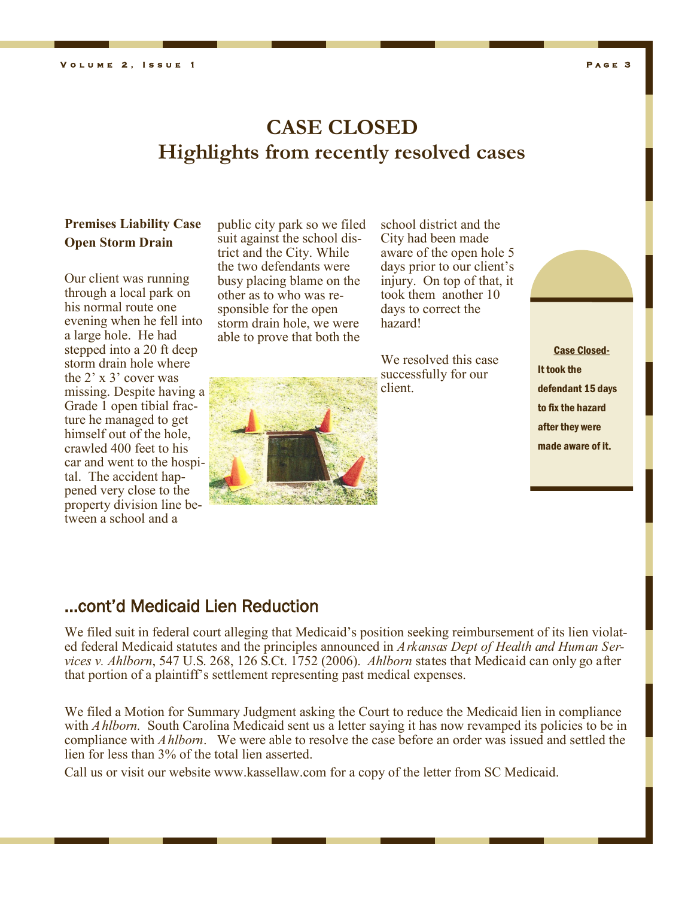# **CASE CLOSED Highlights from recently resolved cases**

#### **Premises Liability Case Open Storm Drain**

Our client was running through a local park on his normal route one evening when he fell into a large hole. He had stepped into a 20 ft deep storm drain hole where the 2' x 3' cover was missing. Despite having a Grade 1 open tibial fracture he managed to get himself out of the hole, crawled 400 feet to his car and went to the hospital. The accident happened very close to the property division line between a school and a

public city park so we filed suit against the school district and the City. While the two defendants were busy placing blame on the other as to who was responsible for the open storm drain hole, we were able to prove that both the



school district and the City had been made aware of the open hole 5 days prior to our client's injury. On top of that, it took them another 10 days to correct the hazard!

We resolved this case successfully for our client.

Case Closed-It took the defendant 15 days to fix the hazard after they were made aware of it.

### ...cont'd Medicaid Lien Reduction

We filed suit in federal court alleging that Medicaid's position seeking reimbursement of its lien violated federal Medicaid statutes and the principles announced in *Arkansas Dept of Health and Human Services v. Ahlborn*, 547 U.S. 268, 126 S.Ct. 1752 (2006). *Ahlborn* states that Medicaid can only go after that portion of a plaintiff's settlement representing past medical expenses.

We filed a Motion for Summary Judgment asking the Court to reduce the Medicaid lien in compliance with *Ahlborn*. South Carolina Medicaid sent us a letter saying it has now revamped its policies to be in compliance with *Ahlborn*. We were able to resolve the case before an order was issued and settled the lien for less than 3% of the total lien asserted.

Call us or visit our website www.kassellaw.com for a copy of the letter from SC Medicaid.